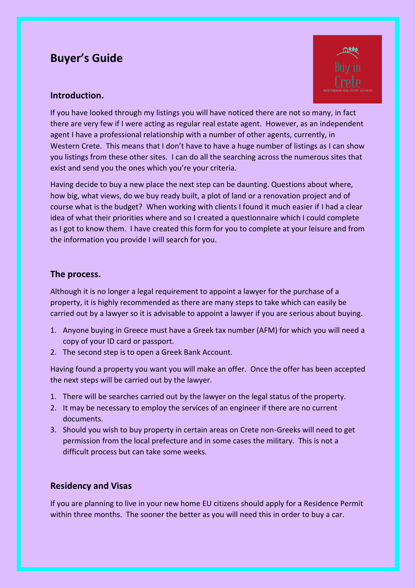# **Buyer's Guide**



# **Introduction.**

If you have looked through my listings you will have noticed there are not so many, in fact there are very few if I were acting as regular real estate agent. However, as an independent agent I have a professional relationship with a number of other agents, currently, in Western Crete. This means that I don't have to have a huge number of listings as I can show you listings from these other sites. I can do all the searching across the numerous sites that exist and send you the ones which you're your criteria.

Having decide to buy a new place the next step can be daunting. Questions about where, how big, what views, do we buy ready built, a plot of land or a renovation project and of course what is the budget? When working with clients I found it much easier if I had a clear idea of what their priorities where and so I created a questionnaire which I could complete as I got to know them. I have created this form for you to complete at your leisure and from the information you provide I will search for you.

# **The process.**

Although it is no longer a legal requirement to appoint a lawyer for the purchase of a property, it is highly recommended as there are many steps to take which can easily be carried out by a lawyer so it is advisable to appoint a lawyer if you are serious about buying.

- 1. Anyone buying in Greece must have a Greek tax number (AFM) for which you will need a copy of your ID card or passport.
- 2. The second step is to open a Greek Bank Account.

Having found a property you want you will make an offer. Once the offer has been accepted the next steps will be carried out by the lawyer.

- 1. There will be searches carried out by the lawyer on the legal status of the property.
- 2. It may be necessary to employ the services of an engineer if there are no current documents.
- 3. Should you wish to buy property in certain areas on Crete non-Greeks will need to get permission from the local prefecture and in some cases the military. This is not a difficult process but can take some weeks.

# **Residency and Visas**

If you are planning to live in your new home EU citizens should apply for a Residence Permit within three months. The sooner the better as you will need this in order to buy a car.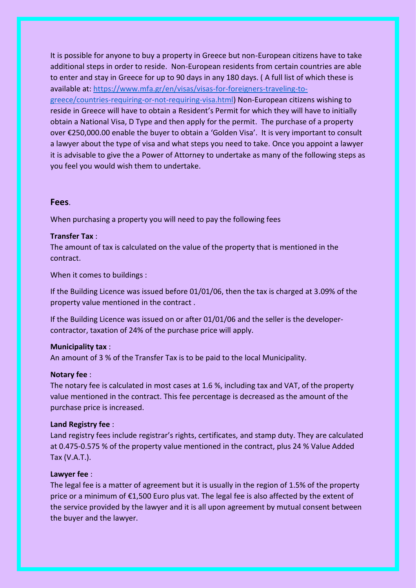It is possible for anyone to buy a property in Greece but non-European citizens have to take additional steps in order to reside. Non-European residents from certain countries are able to enter and stay in Greece for up to 90 days in any 180 days. ( A full list of which these is available at[: https://www.mfa.gr/en/visas/visas-for-foreigners-traveling-to](https://www.mfa.gr/en/visas/visas-for-foreigners-traveling-to-greece/countries-requiring-or-not-requiring-visa.html)[greece/countries-requiring-or-not-requiring-visa.html\)](https://www.mfa.gr/en/visas/visas-for-foreigners-traveling-to-greece/countries-requiring-or-not-requiring-visa.html) Non-European citizens wishing to reside in Greece will have to obtain a Resident's Permit for which they will have to initially obtain a National Visa, D Type and then apply for the permit. The purchase of a property over €250,000.00 enable the buyer to obtain a 'Golden Visa'. It is very important to consult a lawyer about the type of visa and what steps you need to take. Once you appoint a lawyer it is advisable to give the a Power of Attorney to undertake as many of the following steps as you feel you would wish them to undertake.

## **Fees**.

When purchasing a property you will need to pay the following fees

#### **Transfer Tax** :

The amount of tax is calculated on the value of the property that is mentioned in the contract.

When it comes to buildings :

If the Building Licence was issued before 01/01/06, then the tax is charged at 3.09% of the property value mentioned in the contract .

If the Building Licence was issued on or after 01/01/06 and the seller is the developercontractor, taxation of 24% of the purchase price will apply.

#### **Municipality tax** :

An amount of 3 % of the Transfer Tax is to be paid to the local Municipality.

## **Notary fee** :

The notary fee is calculated in most cases at 1.6 %, including tax and VAT, of the property value mentioned in the contract. This fee percentage is decreased as the amount of the purchase price is increased.

## **Land Registry fee** :

Land registry fees include registrar's rights, certificates, and stamp duty. They are calculated at 0.475-0.575 % of the property value mentioned in the contract, plus 24 % Value Added Tax (V.A.T.).

## **Lawyer fee** :

The legal fee is a matter of agreement but it is usually in the region of 1.5% of the property price or a minimum of €1,500 Euro plus vat. The legal fee is also affected by the extent of the service provided by the lawyer and it is all upon agreement by mutual consent between the buyer and the lawyer.